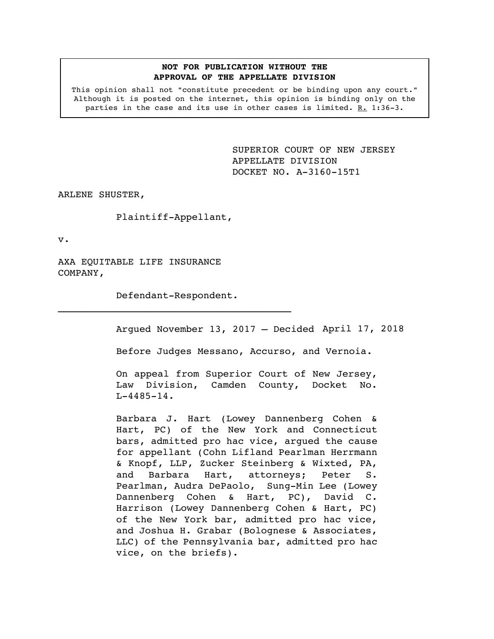## **NOT FOR PUBLICATION WITHOUT THE APPROVAL OF THE APPELLATE DIVISION**

This opinion shall not "constitute precedent or be binding upon any court." Although it is posted on the internet, this opinion is binding only on the parties in the case and its use in other cases is limited. R. 1:36-3.

> <span id="page-0-0"></span>SUPERIOR COURT OF NEW JERSEY APPELLATE DIVISION DOCKET NO. A-3160-15T1

ARLENE SHUSTER,

Plaintiff-Appellant,

v.

AXA EQUITABLE LIFE INSURANCE COMPANY,

Defendant-Respondent.  $\mathcal{L}_\text{max}$  and  $\mathcal{L}_\text{max}$  and  $\mathcal{L}_\text{max}$ 

Argued November 13, 2017 – Decided April 17, 2018

Before Judges Messano, Accurso, and Vernoia.

On appeal from Superior Court of New Jersey, Law Division, Camden County, Docket No.  $L-4485-14.$ 

Barbara J. Hart (Lowey Dannenberg Cohen & Hart, PC) of the New York and Connecticut bars, admitted pro hac vice, argued the cause for appellant (Cohn Lifland Pearlman Herrmann & Knopf, LLP, Zucker Steinberg & Wixted, PA, and Barbara Hart, attorneys; Peter S. Pearlman, Audra DePaolo, Sung-Min Lee (Lowey Dannenberg Cohen & Hart, PC), David C. Harrison (Lowey Dannenberg Cohen & Hart, PC) of the New York bar, admitted pro hac vice, and Joshua H. Grabar (Bolognese & Associates, LLC) of the Pennsylvania bar, admitted pro hac vice, on the briefs).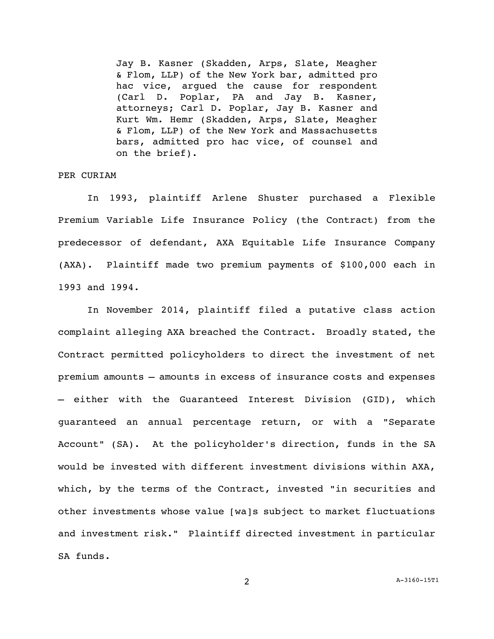Jay B. Kasner (Skadden, Arps, Slate, Meagher & Flom, LLP) of the New York bar, admitted pro hac vice, argued the cause for respondent (Carl D. Poplar, PA and Jay B. Kasner, attorneys; Carl D. Poplar, Jay B. Kasner and Kurt Wm. Hemr (Skadden, Arps, Slate, Meagher & Flom, LLP) of the New York and Massachusetts bars, admitted pro hac vice, of counsel and on the brief).

## PER CURIAM

In 1993, plaintiff Arlene Shuster purchased a Flexible Premium Variable Life Insurance Policy (the Contract) from the predecessor of defendant, AXA Equitable Life Insurance Company (AXA). Plaintiff made two premium payments of \$100,000 each in 1993 and 1994.

In November 2014, plaintiff filed a putative class action complaint alleging AXA breached the Contract. Broadly stated, the Contract permitted policyholders to direct the investment of net premium amounts — amounts in excess of insurance costs and expenses — either with the Guaranteed Interest Division (GID), which guaranteed an annual percentage return, or with a "Separate Account" (SA). At the policyholder's direction, funds in the SA would be invested with different investment divisions within AXA, which, by the terms of the Contract, invested "in securities and other investments whose value [wa]s subject to market fluctuations and investment risk." Plaintiff directed investment in particular SA funds.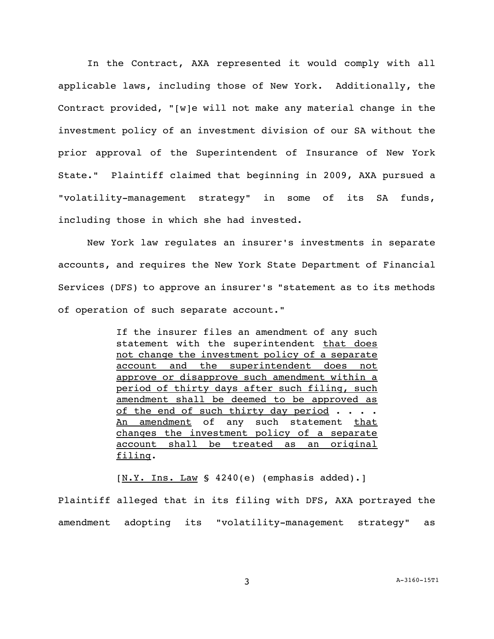In the Contract, AXA represented it would comply with all applicable laws, including those of New York. Additionally, the Contract provided, "[w]e will not make any material change in the investment policy of an investment division of our SA without the prior approval of the Superintendent of Insurance of New York State." Plaintiff claimed that beginning in 2009, AXA pursued a "volatility-management strategy" in some of its SA funds, including those in which she had invested.

New York law regulates an insurer's investments in separate accounts, and requires the New York State Department of Financial Services (DFS) to approve an insurer's "statement as to its methods of operation of such separate account."

> If the insurer files an amendment of any such statement with the superintendent that does not change the investment policy of a separate account and the superintendent does not approve or disapprove such amendment within a period of thirty days after such filing, such amendment shall be deemed to be approved as of the end of such thirty day period  $\cdots$ . An amendment of any such statement that changes the investment policy of a separate account shall be treated as an original filing.

 $[N.Y. Ins. Law S 4240(e) (emphasis added).]$ Plaintiff alleged that in its filing with DFS, AXA portrayed the amendment adopting its "volatility-management strategy" as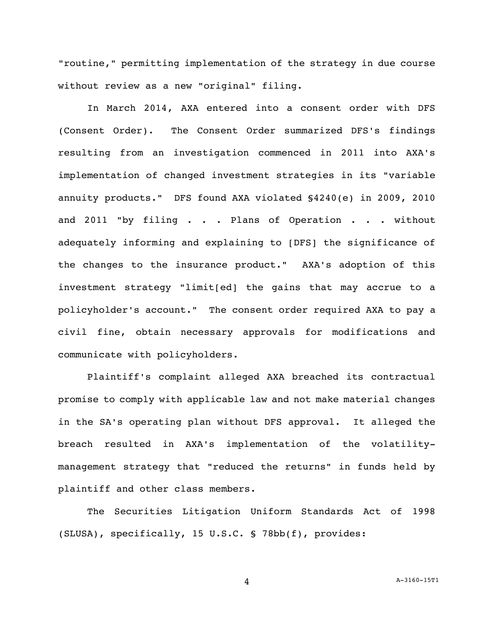"routine," permitting implementation of the strategy in due course without review as a new "original" filing.

In March 2014, AXA entered into a consent order with DFS (Consent Order). The Consent Order summarized DFS's findings resulting from an investigation commenced in 2011 into AXA's implementation of changed investment strategies in its "variable annuity products." DFS found AXA violated §4240(e) in 2009, 2010 and 2011 "by filing . . . Plans of Operation . . . without adequately informing and explaining to [DFS] the significance of the changes to the insurance product." AXA's adoption of this investment strategy "limit[ed] the gains that may accrue to a policyholder's account." The consent order required AXA to pay a civil fine, obtain necessary approvals for modifications and communicate with policyholders.

Plaintiff's complaint alleged AXA breached its contractual promise to comply with applicable law and not make material changes in the SA's operating plan without DFS approval. It alleged the breach resulted in AXA's implementation of the volatilitymanagement strategy that "reduced the returns" in funds held by plaintiff and other class members.

The Securities Litigation Uniform Standards Act of 1998 (SLUSA), specifically, 15 U.S.C. § 78bb(f), provides:

4 A[-3160-15T1](#page-0-0)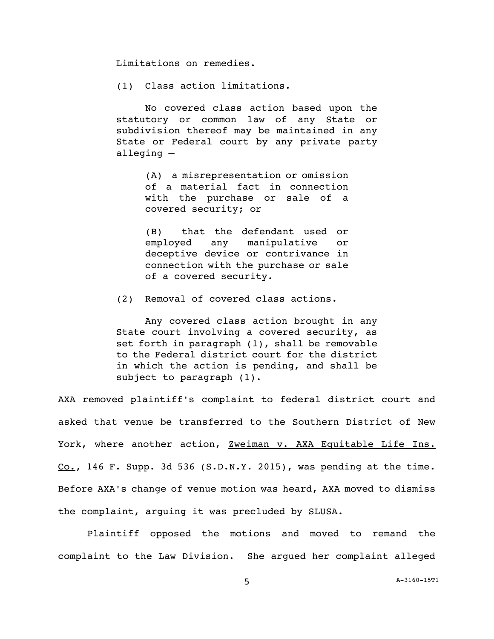Limitations on remedies.

(1) Class action limitations.

No covered class action based upon the statutory or common law of any State or subdivision thereof may be maintained in any State or Federal court by any private party alleging —

> (A) a misrepresentation or omission of a material fact in connection with the purchase or sale of a covered security; or

> (B) that the defendant used or employed any manipulative or deceptive device or contrivance in connection with the purchase or sale of a covered security.

(2) Removal of covered class actions.

Any covered class action brought in any State court involving a covered security, as set forth in paragraph (1), shall be removable to the Federal district court for the district in which the action is pending, and shall be subject to paragraph (1).

AXA removed plaintiff's complaint to federal district court and asked that venue be transferred to the Southern District of New York, where another action, Zweiman v. AXA Equitable Life Ins. Co., 146 F. Supp. 3d 536 (S.D.N.Y. 2015), was pending at the time. Before AXA's change of venue motion was heard, AXA moved to dismiss the complaint, arguing it was precluded by SLUSA.

Plaintiff opposed the motions and moved to remand the complaint to the Law Division. She argued her complaint alleged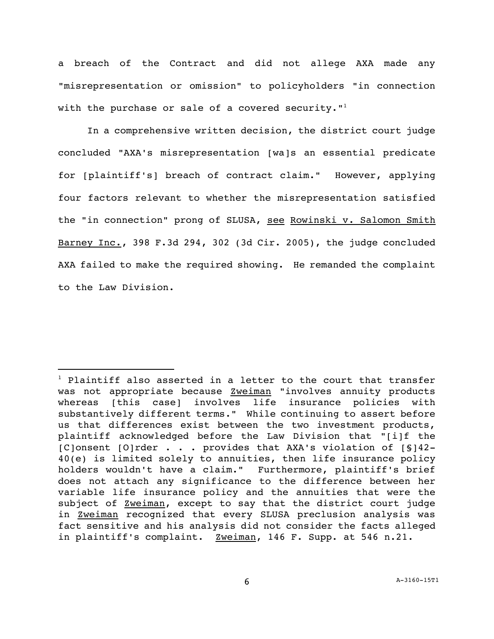a breach of the Contract and did not allege AXA made any "misrepresentation or omission" to policyholders "in connection with the purchase or sale of a covered security."<sup>1</sup>

In a comprehensive written decision, the district court judge concluded "AXA's misrepresentation [wa]s an essential predicate for [plaintiff's] breach of contract claim." However, applying four factors relevant to whether the misrepresentation satisfied the "in connection" prong of SLUSA, see Rowinski v. Salomon Smith Barney Inc., 398 F.3d 294, 302 (3d Cir. 2005), the judge concluded AXA failed to make the required showing. He remanded the complaint to the Law Division.

i<br>L

 $1$  Plaintiff also asserted in a letter to the court that transfer was not appropriate because **Zweiman** "involves annuity products whereas [this case] involves life insurance policies with substantively different terms." While continuing to assert before us that differences exist between the two investment products, plaintiff acknowledged before the Law Division that "[i]f the [C]onsent [O]rder . . . provides that AXA's violation of [§]42- 40(e) is limited solely to annuities, then life insurance policy holders wouldn't have a claim." Furthermore, plaintiff's brief does not attach any significance to the difference between her variable life insurance policy and the annuities that were the subject of Zweiman, except to say that the district court judge in Zweiman recognized that every SLUSA preclusion analysis was fact sensitive and his analysis did not consider the facts alleged in plaintiff's complaint. Zweiman, 146 F. Supp. at 546 n.21.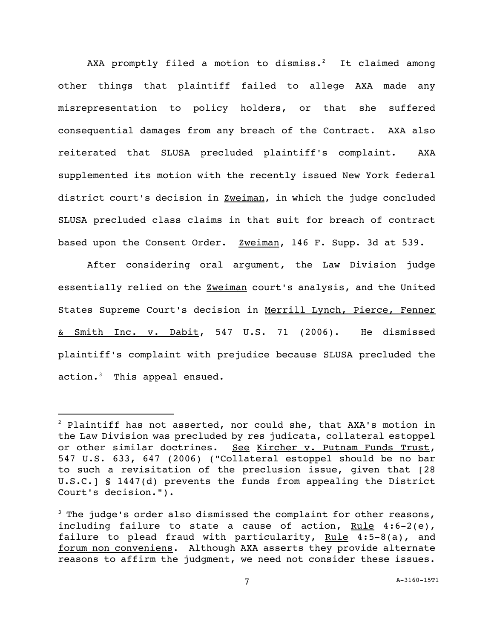AXA promptly filed a motion to dismiss.<sup>2</sup> It claimed among other things that plaintiff failed to allege AXA made any misrepresentation to policy holders, or that she suffered consequential damages from any breach of the Contract. AXA also reiterated that SLUSA precluded plaintiff's complaint. AXA supplemented its motion with the recently issued New York federal district court's decision in **Zweiman**, in which the judge concluded SLUSA precluded class claims in that suit for breach of contract based upon the Consent Order. Zweiman, 146 F. Supp. 3d at 539.

After considering oral argument, the Law Division judge essentially relied on the **Zweiman** court's analysis, and the United States Supreme Court's decision in Merrill Lynch, Pierce, Fenner & Smith Inc. v. Dabit, 547 U.S. 71 (2006). He dismissed plaintiff's complaint with prejudice because SLUSA precluded the action.<sup>3</sup> This appeal ensued.

i<br>L

 $2$  Plaintiff has not asserted, nor could she, that AXA's motion in the Law Division was precluded by res judicata, collateral estoppel or other similar doctrines. See Kircher v. Putnam Funds Trust, 547 U.S. 633, 647 (2006) ("Collateral estoppel should be no bar to such a revisitation of the preclusion issue, given that [28 U.S.C.] § 1447(d) prevents the funds from appealing the District Court's decision.").

 $3$  The judge's order also dismissed the complaint for other reasons, including failure to state a cause of action, Rule 4:6-2(e), failure to plead fraud with particularity, Rule 4:5-8(a), and forum non conveniens. Although AXA asserts they provide alternate reasons to affirm the judgment, we need not consider these issues.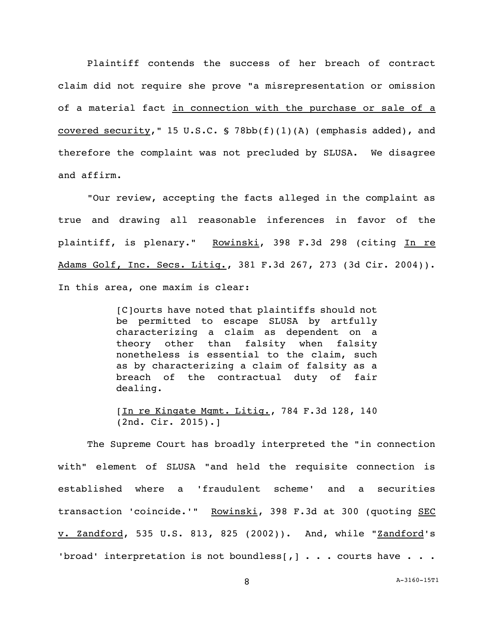Plaintiff contends the success of her breach of contract claim did not require she prove "a misrepresentation or omission of a material fact in connection with the purchase or sale of a covered security," 15 U.S.C. § 78bb(f)(1)(A) (emphasis added), and therefore the complaint was not precluded by SLUSA. We disagree and affirm.

"Our review, accepting the facts alleged in the complaint as true and drawing all reasonable inferences in favor of the plaintiff, is plenary." Rowinski, 398 F.3d 298 (citing In re Adams Golf, Inc. Secs. Litig., 381 F.3d 267, 273 (3d Cir. 2004)). In this area, one maxim is clear:

> [C]ourts have noted that plaintiffs should not be permitted to escape SLUSA by artfully characterizing a claim as dependent on a theory other than falsity when falsity nonetheless is essential to the claim, such as by characterizing a claim of falsity as a breach of the contractual duty of fair dealing.

> [In re Kingate Mgmt. Litig., 784 F.3d 128, 140 (2nd. Cir. 2015).]

The Supreme Court has broadly interpreted the "in connection with" element of SLUSA "and held the requisite connection is established where a 'fraudulent scheme' and a securities transaction 'coincide.'" Rowinski, 398 F.3d at 300 (quoting SEC v. Zandford, 535 U.S. 813, 825 (2002)). And, while "Zandford's 'broad' interpretation is not boundless[,]  $\ldots$  courts have  $\ldots$ .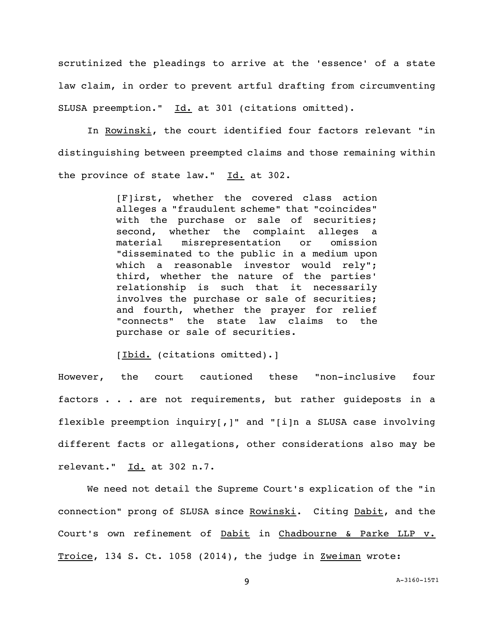scrutinized the pleadings to arrive at the 'essence' of a state law claim, in order to prevent artful drafting from circumventing SLUSA preemption." Id. at 301 (citations omitted).

In Rowinski, the court identified four factors relevant "in distinguishing between preempted claims and those remaining within the province of state law."  $Id.$  at 302.

> [F]irst, whether the covered class action alleges a "fraudulent scheme" that "coincides" with the purchase or sale of securities; second, whether the complaint alleges a material misrepresentation or omission "disseminated to the public in a medium upon which a reasonable investor would rely"; third, whether the nature of the parties' relationship is such that it necessarily involves the purchase or sale of securities; and fourth, whether the prayer for relief "connects" the state law claims to the purchase or sale of securities.

[Ibid. (citations omitted).]

However, the court cautioned these "non-inclusive four factors . . . are not requirements, but rather guideposts in a flexible preemption inquiry[,]" and "[i]n a SLUSA case involving different facts or allegations, other considerations also may be relevant." Id. at 302 n.7.

We need not detail the Supreme Court's explication of the "in connection" prong of SLUSA since Rowinski. Citing Dabit, and the Court's own refinement of Dabit in Chadbourne & Parke LLP v. Troice, 134 S. Ct. 1058 (2014), the judge in Zweiman wrote:

9 A[-3160-15T1](#page-0-0)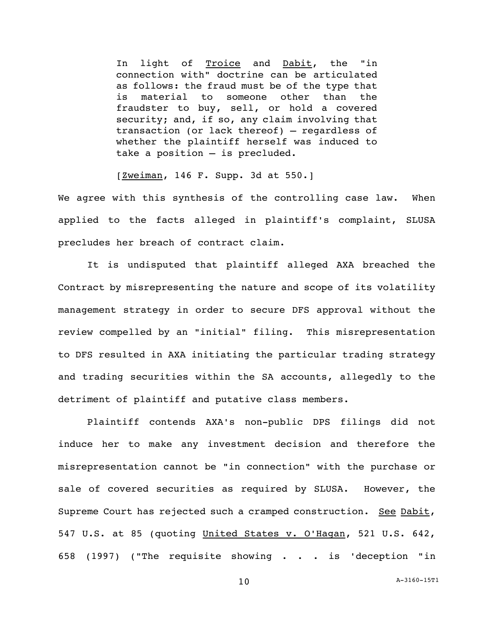In light of Troice and Dabit, the "in connection with" doctrine can be articulated as follows: the fraud must be of the type that is material to someone other than the fraudster to buy, sell, or hold a covered security; and, if so, any claim involving that transaction (or lack thereof) — regardless of whether the plaintiff herself was induced to take a position — is precluded.

[Zweiman, 146 F. Supp. 3d at 550.]

We agree with this synthesis of the controlling case law. When applied to the facts alleged in plaintiff's complaint, SLUSA precludes her breach of contract claim.

It is undisputed that plaintiff alleged AXA breached the Contract by misrepresenting the nature and scope of its volatility management strategy in order to secure DFS approval without the review compelled by an "initial" filing. This misrepresentation to DFS resulted in AXA initiating the particular trading strategy and trading securities within the SA accounts, allegedly to the detriment of plaintiff and putative class members.

Plaintiff contends AXA's non-public DPS filings did not induce her to make any investment decision and therefore the misrepresentation cannot be "in connection" with the purchase or sale of covered securities as required by SLUSA. However, the Supreme Court has rejected such a cramped construction. See Dabit, 547 U.S. at 85 (quoting United States v. O'Hagan, 521 U.S. 642, 658 (1997) ("The requisite showing . . . is 'deception "in